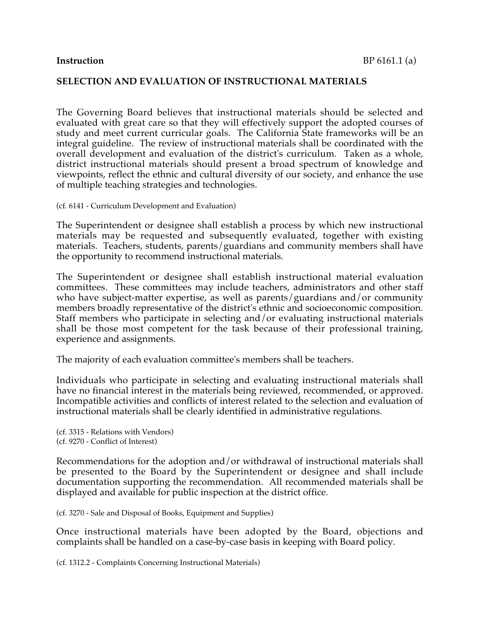## **SELECTION AND EVALUATION OF INSTRUCTIONAL MATERIALS**

The Governing Board believes that instructional materials should be selected and evaluated with great care so that they will effectively support the adopted courses of study and meet current curricular goals. The California State frameworks will be an integral guideline. The review of instructional materials shall be coordinated with the overall development and evaluation of the district's curriculum. Taken as a whole, district instructional materials should present a broad spectrum of knowledge and viewpoints, reflect the ethnic and cultural diversity of our society, and enhance the use of multiple teaching strategies and technologies.

(cf. 6141 - Curriculum Development and Evaluation)

The Superintendent or designee shall establish a process by which new instructional materials may be requested and subsequently evaluated, together with existing materials. Teachers, students, parents/guardians and community members shall have the opportunity to recommend instructional materials.

The Superintendent or designee shall establish instructional material evaluation committees. These committees may include teachers, administrators and other staff who have subject-matter expertise, as well as parents/guardians and/or community members broadly representative of the district's ethnic and socioeconomic composition. Staff members who participate in selecting and/or evaluating instructional materials shall be those most competent for the task because of their professional training, experience and assignments.

The majority of each evaluation committee's members shall be teachers.

Individuals who participate in selecting and evaluating instructional materials shall have no financial interest in the materials being reviewed, recommended, or approved. Incompatible activities and conflicts of interest related to the selection and evaluation of instructional materials shall be clearly identified in administrative regulations.

(cf. 3315 - Relations with Vendors) (cf. 9270 - Conflict of Interest)

Recommendations for the adoption and/or withdrawal of instructional materials shall be presented to the Board by the Superintendent or designee and shall include documentation supporting the recommendation. All recommended materials shall be displayed and available for public inspection at the district office.

(cf. 3270 - Sale and Disposal of Books, Equipment and Supplies)

Once instructional materials have been adopted by the Board, objections and complaints shall be handled on a case-by-case basis in keeping with Board policy.

(cf. 1312.2 - Complaints Concerning Instructional Materials)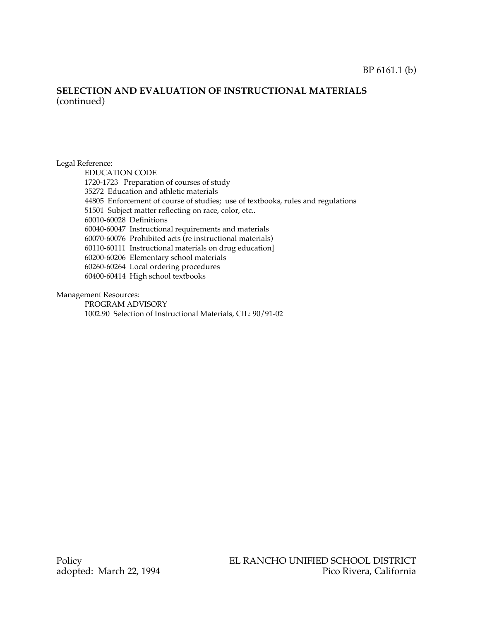## **SELECTION AND EVALUATION OF INSTRUCTIONAL MATERIALS** (continued)

#### Legal Reference:

EDUCATION CODE 1720-1723 Preparation of courses of study 35272 Education and athletic materials 44805 Enforcement of course of studies; use of textbooks, rules and regulations 51501 Subject matter reflecting on race, color, etc.. 60010-60028 Definitions 60040-60047 Instructional requirements and materials 60070-60076 Prohibited acts (re instructional materials) 60110-60111 Instructional materials on drug education] 60200-60206 Elementary school materials 60260-60264 Local ordering procedures 60400-60414 High school textbooks

#### Management Resources:

PROGRAM ADVISORY 1002.90 Selection of Instructional Materials, CIL: 90/91-02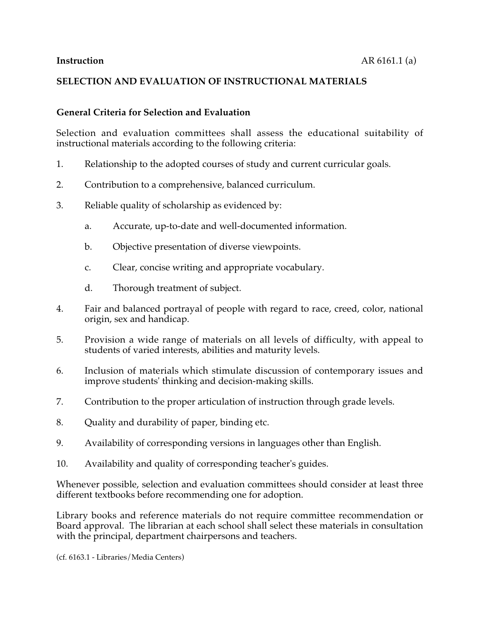# **SELECTION AND EVALUATION OF INSTRUCTIONAL MATERIALS**

# **General Criteria for Selection and Evaluation**

Selection and evaluation committees shall assess the educational suitability of instructional materials according to the following criteria:

- 1. Relationship to the adopted courses of study and current curricular goals.
- 2. Contribution to a comprehensive, balanced curriculum.
- 3. Reliable quality of scholarship as evidenced by:
	- a. Accurate, up-to-date and well-documented information.
	- b. Objective presentation of diverse viewpoints.
	- c. Clear, concise writing and appropriate vocabulary.
	- d. Thorough treatment of subject.
- 4. Fair and balanced portrayal of people with regard to race, creed, color, national origin, sex and handicap.
- 5. Provision a wide range of materials on all levels of difficulty, with appeal to students of varied interests, abilities and maturity levels.
- 6. Inclusion of materials which stimulate discussion of contemporary issues and improve students' thinking and decision-making skills.
- 7. Contribution to the proper articulation of instruction through grade levels.
- 8. Quality and durability of paper, binding etc.
- 9. Availability of corresponding versions in languages other than English.
- 10. Availability and quality of corresponding teacher's guides.

Whenever possible, selection and evaluation committees should consider at least three different textbooks before recommending one for adoption.

Library books and reference materials do not require committee recommendation or Board approval. The librarian at each school shall select these materials in consultation with the principal, department chairpersons and teachers.

(cf. 6163.1 - Libraries/Media Centers)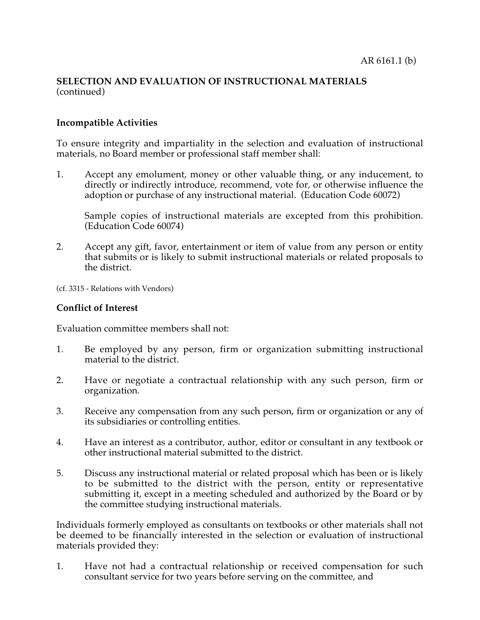# **SELECTION AND EVALUATION OF INSTRUCTIONAL MATERIALS** (continued)

# **Incompatible Activities**

To ensure integrity and impartiality in the selection and evaluation of instructional materials, no Board member or professional staff member shall:

1. Accept any emolument, money or other valuable thing, or any inducement, to directly or indirectly introduce, recommend, vote for, or otherwise influence the adoption or purchase of any instructional material. (Education Code 60072)

Sample copies of instructional materials are excepted from this prohibition. (Education Code 60074)

2. Accept any gift, favor, entertainment or item of value from any person or entity that submits or is likely to submit instructional materials or related proposals to the district.

(cf. 3315 - Relations with Vendors)

#### **Conflict of Interest**

Evaluation committee members shall not:

- 1. Be employed by any person, firm or organization submitting instructional material to the district.
- 2. Have or negotiate a contractual relationship with any such person, firm or organization.
- 3. Receive any compensation from any such person, firm or organization or any of its subsidiaries or controlling entities.
- 4. Have an interest as a contributor, author, editor or consultant in any textbook or other instructional material submitted to the district.
- 5. Discuss any instructional material or related proposal which has been or is likely to be submitted to the district with the person, entity or representative submitting it, except in a meeting scheduled and authorized by the Board or by the committee studying instructional materials.

Individuals formerly employed as consultants on textbooks or other materials shall not be deemed to be financially interested in the selection or evaluation of instructional materials provided they:

1. Have not had a contractual relationship or received compensation for such consultant service for two years before serving on the committee, and